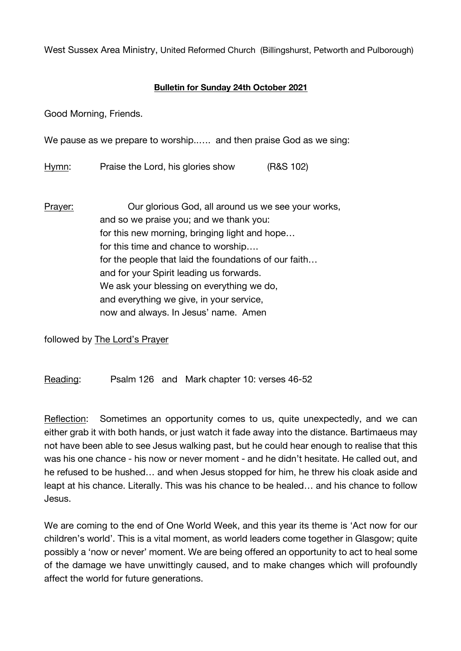West Sussex Area Ministry, United Reformed Church (Billingshurst, Petworth and Pulborough)

## **Bulletin for Sunday 24th October 2021**

Good Morning, Friends.

We pause as we prepare to worship...... and then praise God as we sing:

Hymn: Praise the Lord, his glories show (R&S 102)

Prayer: Our glorious God, all around us we see your works, and so we praise you; and we thank you: for this new morning, bringing light and hope… for this time and chance to worship…. for the people that laid the foundations of our faith… and for your Spirit leading us forwards. We ask your blessing on everything we do, and everything we give, in your service, now and always. In Jesus' name. Amen

followed by The Lord's Prayer

Reading: Psalm 126 and Mark chapter 10: verses 46-52

Reflection: Sometimes an opportunity comes to us, quite unexpectedly, and we can either grab it with both hands, or just watch it fade away into the distance. Bartimaeus may not have been able to see Jesus walking past, but he could hear enough to realise that this was his one chance - his now or never moment - and he didn't hesitate. He called out, and he refused to be hushed… and when Jesus stopped for him, he threw his cloak aside and leapt at his chance. Literally. This was his chance to be healed… and his chance to follow Jesus.

We are coming to the end of One World Week, and this year its theme is 'Act now for our children's world'. This is a vital moment, as world leaders come together in Glasgow; quite possibly a 'now or never' moment. We are being offered an opportunity to act to heal some of the damage we have unwittingly caused, and to make changes which will profoundly affect the world for future generations.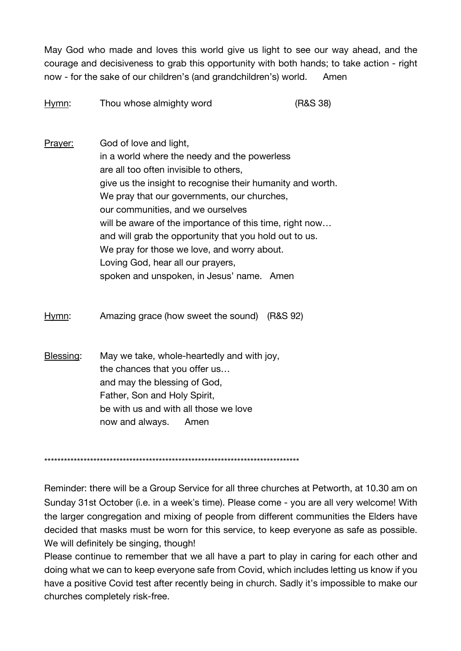May God who made and loves this world give us light to see our way ahead, and the courage and decisiveness to grab this opportunity with both hands; to take action - right now - for the sake of our children's (and grandchildren's) world. Amen

| Hymn:   | Thou whose almighty word                                   | (R&S 38) |
|---------|------------------------------------------------------------|----------|
| Prayer: | God of love and light,                                     |          |
|         | in a world where the needy and the powerless               |          |
|         | are all too often invisible to others,                     |          |
|         | give us the insight to recognise their humanity and worth. |          |
|         | We pray that our governments, our churches,                |          |
|         | our communities, and we ourselves                          |          |
|         | will be aware of the importance of this time, right now    |          |
|         | and will grab the opportunity that you hold out to us.     |          |
|         | We pray for those we love, and worry about.                |          |
|         | Loving God, hear all our prayers,                          |          |

spoken and unspoken, in Jesus' name. Amen

Hymn: Amazing grace (how sweet the sound) (R&S 92)

Blessing: May we take, whole-heartedly and with joy, the chances that you offer us… and may the blessing of God, Father, Son and Holy Spirit, be with us and with all those we love now and always. Amen

\*\*\*\*\*\*\*\*\*\*\*\*\*\*\*\*\*\*\*\*\*\*\*\*\*\*\*\*\*\*\*\*\*\*\*\*\*\*\*\*\*\*\*\*\*\*\*\*\*\*\*\*\*\*\*\*\*\*\*\*\*\*\*\*\*\*\*\*\*\*\*\*\*\*\*\*\*\*

Reminder: there will be a Group Service for all three churches at Petworth, at 10.30 am on Sunday 31st October (i.e. in a week's time). Please come - you are all very welcome! With the larger congregation and mixing of people from different communities the Elders have decided that masks must be worn for this service, to keep everyone as safe as possible. We will definitely be singing, though!

Please continue to remember that we all have a part to play in caring for each other and doing what we can to keep everyone safe from Covid, which includes letting us know if you have a positive Covid test after recently being in church. Sadly it's impossible to make our churches completely risk-free.